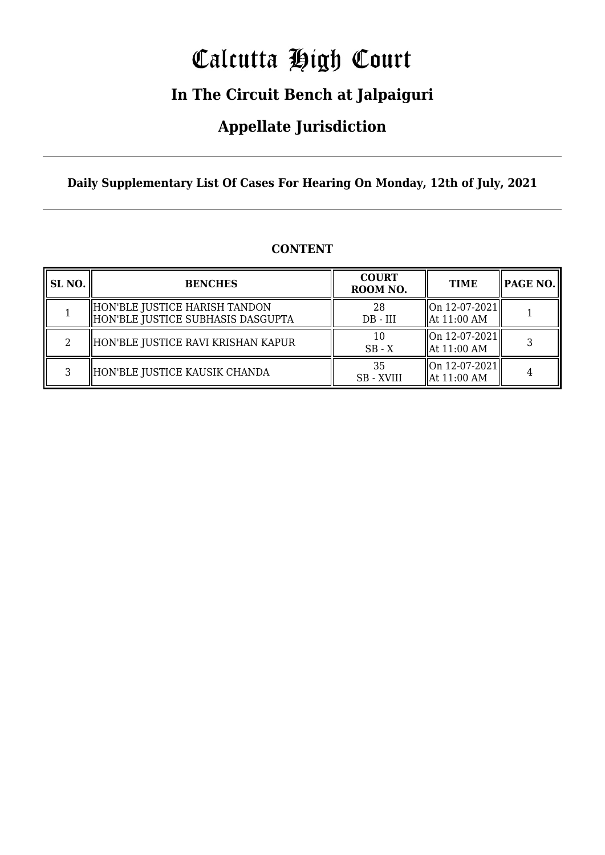# Calcutta High Court

### **In The Circuit Bench at Jalpaiguri**

### **Appellate Jurisdiction**

**Daily Supplementary List Of Cases For Hearing On Monday, 12th of July, 2021**

| SL <sub>NO.</sub> | <b>BENCHES</b>                                                     | <b>COURT</b><br>ROOM NO. | <b>TIME</b>                                                             |  |
|-------------------|--------------------------------------------------------------------|--------------------------|-------------------------------------------------------------------------|--|
|                   | HON'BLE JUSTICE HARISH TANDON<br>HON'BLE JUSTICE SUBHASIS DASGUPTA | 28<br>$DB - III$         | $\ $ On 12-07-2021 $\ $<br>$\parallel$ At 11:00 AM                      |  |
| 2                 | HON'BLE JUSTICE RAVI KRISHAN KAPUR                                 | 10<br>$SB - X$           | $\ $ On 12-07-2021 $\ $<br>$\parallel$ At 11:00 AM                      |  |
| Q.                | HON'BLE JUSTICE KAUSIK CHANDA                                      | 35<br>SB - XVIII         | $\left\  \text{On } 12 - 07 - 2021 \right\ $<br>$\parallel$ At 11:00 AM |  |

#### **CONTENT**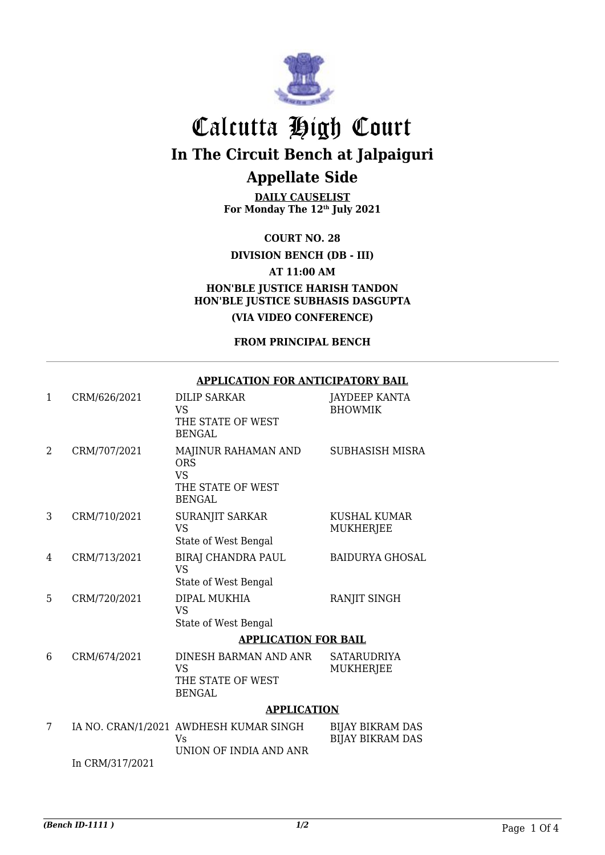

## Calcutta High Court **In The Circuit Bench at Jalpaiguri Appellate Side**

**DAILY CAUSELIST For Monday The 12th July 2021**

**COURT NO. 28**

**DIVISION BENCH (DB - III)**

**AT 11:00 AM**

**HON'BLE JUSTICE HARISH TANDON HON'BLE JUSTICE SUBHASIS DASGUPTA**

**(VIA VIDEO CONFERENCE)**

**FROM PRINCIPAL BENCH**

#### **APPLICATION FOR ANTICIPATORY BAIL**

| 1 | CRM/626/2021    | <b>DILIP SARKAR</b><br><b>VS</b><br>THE STATE OF WEST<br><b>BENGAL</b>               | <b>JAYDEEP KANTA</b><br><b>BHOWMIK</b>             |
|---|-----------------|--------------------------------------------------------------------------------------|----------------------------------------------------|
| 2 | CRM/707/2021    | MAJINUR RAHAMAN AND<br><b>ORS</b><br><b>VS</b><br>THE STATE OF WEST<br><b>BENGAL</b> | <b>SUBHASISH MISRA</b>                             |
| 3 | CRM/710/2021    | SURANJIT SARKAR<br><b>VS</b><br>State of West Bengal                                 | KUSHAL KUMAR<br><b>MUKHERJEE</b>                   |
| 4 | CRM/713/2021    | <b>BIRAJ CHANDRA PAUL</b><br><b>VS</b><br>State of West Bengal                       | <b>BAIDURYA GHOSAL</b>                             |
| 5 | CRM/720/2021    | DIPAL MUKHIA<br><b>VS</b><br>State of West Bengal                                    | RANJIT SINGH                                       |
|   |                 | <b>APPLICATION FOR BAIL</b>                                                          |                                                    |
| 6 | CRM/674/2021    | DINESH BARMAN AND ANR<br><b>VS</b><br>THE STATE OF WEST<br><b>BENGAL</b>             | <b>SATARUDRIYA</b><br>MUKHERJEE                    |
|   |                 | <b>APPLICATION</b>                                                                   |                                                    |
| 7 |                 | IA NO. CRAN/1/2021 AWDHESH KUMAR SINGH<br>Vs<br>UNION OF INDIA AND ANR               | <b>BIJAY BIKRAM DAS</b><br><b>BIJAY BIKRAM DAS</b> |
|   | In CRM/317/2021 |                                                                                      |                                                    |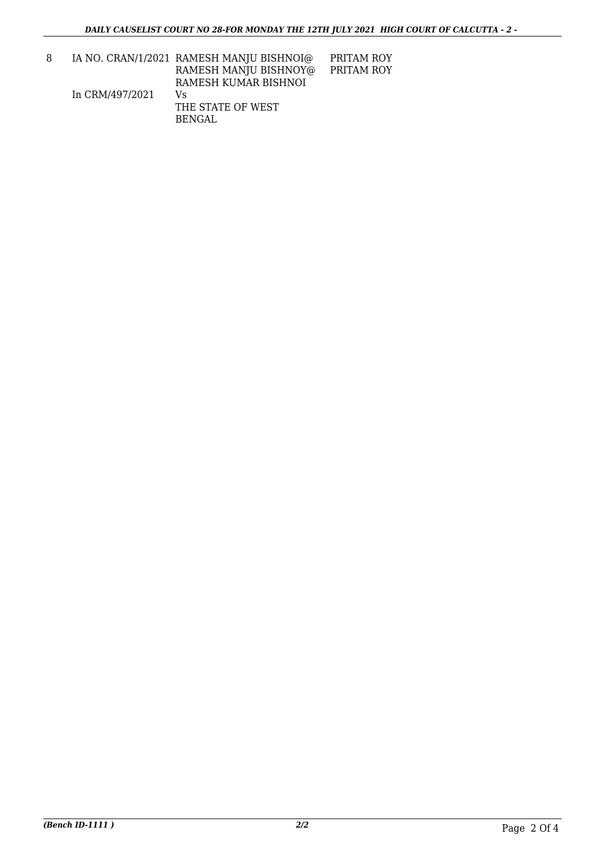8 IA NO. CRAN/1/2021 RAMESH MANJU BISHNOI@ In CRM/497/2021 RAMESH MANJU BISHNOY@ RAMESH KUMAR BISHNOI Vs THE STATE OF WEST PRITAM ROY PRITAM ROY

BENGAL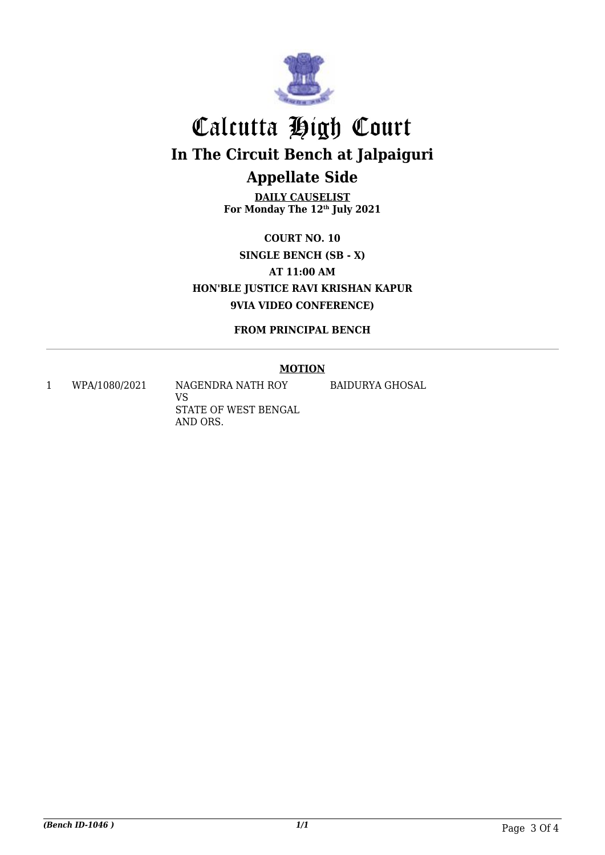

## Calcutta High Court **In The Circuit Bench at Jalpaiguri Appellate Side**

**DAILY CAUSELIST For Monday The 12th July 2021**

**COURT NO. 10 SINGLE BENCH (SB - X) AT 11:00 AM HON'BLE JUSTICE RAVI KRISHAN KAPUR 9VIA VIDEO CONFERENCE)**

**FROM PRINCIPAL BENCH**

#### **MOTION**

1 WPA/1080/2021 NAGENDRA NATH ROY

VS STATE OF WEST BENGAL AND ORS.

BAIDURYA GHOSAL